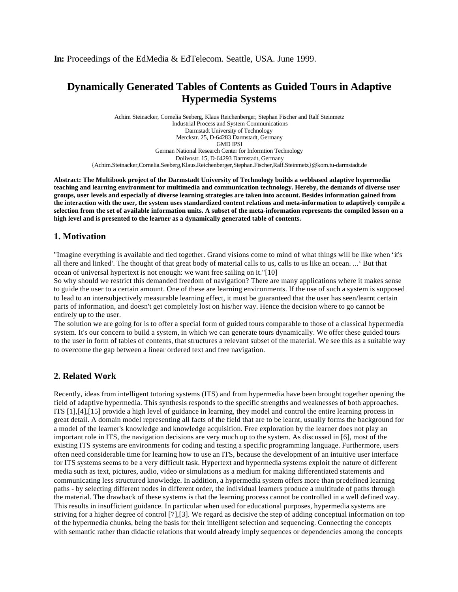**In:** Proceedings of the EdMedia & EdTelecom. Seattle, USA. June 1999.

# **Dynamically Generated Tables of Contents as Guided Tours in Adaptive Hypermedia Systems**

Achim Steinacker, Cornelia Seeberg, Klaus Reichenberger, Stephan Fischer and Ralf Steinmetz Industrial Process and System Communications Darmstadt University of Technology Merckstr. 25, D-64283 Darmstadt, Germany GMD IPSI German National Research Center for Informtion Technology Dolivostr. 15, D-64293 Darmstadt, Germany {Achim.Steinacker,Cornelia.Seeberg,Klaus.Reichenberger,Stephan.Fischer,Ralf.Steinmetz}@kom.tu-darmstadt.de

**Abstract: The Multibook project of the Darmstadt University of Technology builds a webbased adaptive hypermedia teaching and learning environment for multimedia and communication technology. Hereby, the demands of diverse user groups, user levels and especially of diverse learning strategies are taken into account. Besides information gained from the interaction with the user, the system uses standardized content relations and meta-information to adaptively compile a selection from the set of available information units. A subset of the meta-information represents the compiled lesson on a high level and is presented to the learner as a dynamically generated table of contents.**

## **1. Motivation**

"Imagine everything is available and tied together. Grand visions come to mind of what things will be like when 'it's all there and linked'. The thought of that great body of material calls to us, calls to us like an ocean. ...' But that ocean of universal hypertext is not enough: we want free sailing on it."[10]

So why should we restrict this demanded freedom of navigation? There are many applications where it makes sense to guide the user to a certain amount. One of these are learning environments. If the use of such a system is supposed to lead to an intersubjectively measurable learning effect, it must be guaranteed that the user has seen/learnt certain parts of information, and doesn't get completely lost on his/her way. Hence the decision where to go cannot be entirely up to the user.

The solution we are going for is to offer a special form of guided tours comparable to those of a classical hypermedia system. It's our concern to build a system, in which we can generate tours dynamically. We offer these guided tours to the user in form of tables of contents, that structures a relevant subset of the material. We see this as a suitable way to overcome the gap between a linear ordered text and free navigation.

## **2. Related Work**

Recently, ideas from intelligent tutoring systems (ITS) and from hypermedia have been brought together opening the field of adaptive hypermedia. This synthesis responds to the specific strengths and weaknesses of both approaches. ITS [1],[4],[15] provide a high level of guidance in learning, they model and control the entire learning process in great detail. A domain model representing all facts of the field that are to be learnt, usually forms the background for a model of the learner's knowledge and knowledge acquisition. Free exploration by the learner does not play an important role in ITS, the navigation decisions are very much up to the system. As discussed in [6], most of the existing ITS systems are environments for coding and testing a specific programming language. Furthermore, users often need considerable time for learning how to use an ITS, because the development of an intuitive user interface for ITS systems seems to be a very difficult task. Hypertext and hypermedia systems exploit the nature of different media such as text, pictures, audio, video or simulations as a medium for making differentiated statements and communicating less structured knowledge. In addition, a hypermedia system offers more than predefined learning paths - by selecting different nodes in different order, the individual learners produce a multitude of paths through the material. The drawback of these systems is that the learning process cannot be controlled in a well defined way. This results in insufficient guidance. In particular when used for educational purposes, hypermedia systems are striving for a higher degree of control [7],[3]. We regard as decisive the step of adding conceptual information on top of the hypermedia chunks, being the basis for their intelligent selection and sequencing. Connecting the concepts with semantic rather than didactic relations that would already imply sequences or dependencies among the concepts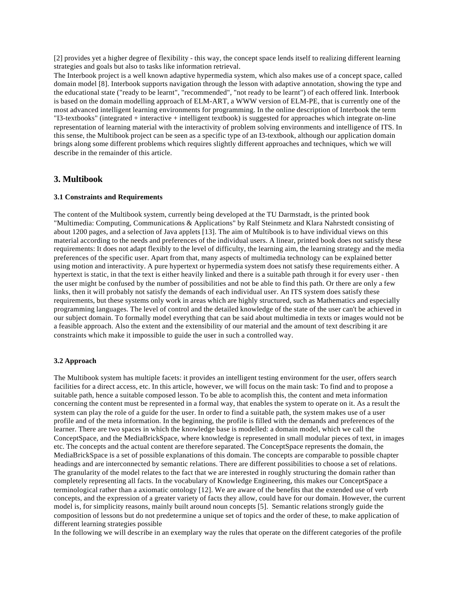[2] provides yet a higher degree of flexibility - this way, the concept space lends itself to realizing different learning strategies and goals but also to tasks like information retrieval.

The Interbook project is a well known adaptive hypermedia system, which also makes use of a concept space, called domain model [8]. Interbook supports navigation through the lesson with adaptive annotation, showing the type and the educational state ("ready to be learnt", "recommended", "not ready to be learnt") of each offered link. Interbook is based on the domain modelling approach of ELM-ART, a WWW version of ELM-PE, that is currently one of the most advanced intelligent learning environments for programming. In the online description of Interbook the term "I3-textbooks" (integrated + interactive + intelligent textbook) is suggested for approaches which integrate on-line representation of learning material with the interactivity of problem solving environments and intelligence of ITS. In this sense, the Multibook project can be seen as a specific type of an I3-textbook, although our application domain brings along some different problems which requires slightly different approaches and techniques, which we will describe in the remainder of this article.

#### **3. Multibook**

#### **3.1 Constraints and Requirements**

The content of the Multibook system, currently being developed at the TU Darmstadt, is the printed book "Multimedia: Computing, Communications & Applications" by Ralf Steinmetz and Klara Nahrstedt consisting of about 1200 pages, and a selection of Java applets [13]. The aim of Multibook is to have individual views on this material according to the needs and preferences of the individual users. A linear, printed book does not satisfy these requirements: It does not adapt flexibly to the level of difficulty, the learning aim, the learning strategy and the media preferences of the specific user. Apart from that, many aspects of multimedia technology can be explained better using motion and interactivity. A pure hypertext or hypermedia system does not satisfy these requirements either. A hypertext is static, in that the text is either heavily linked and there is a suitable path through it for every user - then the user might be confused by the number of possibilities and not be able to find this path. Or there are only a few links, then it will probably not satisfy the demands of each individual user. An ITS system does satisfy these requirements, but these systems only work in areas which are highly structured, such as Mathematics and especially programming languages. The level of control and the detailed knowledge of the state of the user can't be achieved in our subject domain. To formally model everything that can be said about multimedia in texts or images would not be a feasible approach. Also the extent and the extensibility of our material and the amount of text describing it are constraints which make it impossible to guide the user in such a controlled way.

#### **3.2 Approach**

The Multibook system has multiple facets: it provides an intelligent testing environment for the user, offers search facilities for a direct access, etc. In this article, however, we will focus on the main task: To find and to propose a suitable path, hence a suitable composed lesson. To be able to acomplish this, the content and meta information concerning the content must be represented in a formal way, that enables the system to operate on it. As a result the system can play the role of a guide for the user. In order to find a suitable path, the system makes use of a user profile and of the meta information. In the beginning, the profile is filled with the demands and preferences of the learner. There are two spaces in which the knowledge base is modelled: a domain model, which we call the ConceptSpace, and the MediaBrickSpace, where knowledge is represented in small modular pieces of text, in images etc. The concepts and the actual content are therefore separated. The ConceptSpace represents the domain, the MediaBrickSpace is a set of possible explanations of this domain. The concepts are comparable to possible chapter headings and are interconnected by semantic relations. There are different possibilities to choose a set of relations. The granularity of the model relates to the fact that we are interested in roughly structuring the domain rather than completely representing all facts. In the vocabulary of Knowledge Engineering, this makes our ConceptSpace a terminological rather than a axiomatic ontology [12]. We are aware of the benefits that the extended use of verb concepts, and the expression of a greater variety of facts they allow, could have for our domain. However, the current model is, for simplicity reasons, mainly built around noun concepts [5]. Semantic relations strongly guide the composition of lessons but do not predetermine a unique set of topics and the order of these, to make application of different learning strategies possible

In the following we will describe in an exemplary way the rules that operate on the different categories of the profile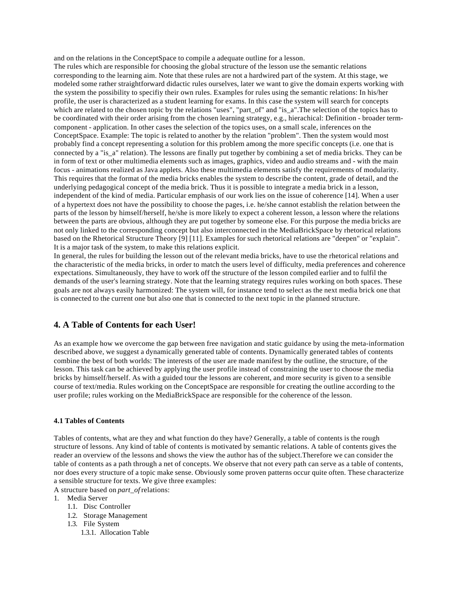and on the relations in the ConceptSpace to compile a adequate outline for a lesson.

The rules which are responsible for choosing the global structure of the lesson use the semantic relations corresponding to the learning aim. Note that these rules are not a hardwired part of the system. At this stage, we modeled some rather straightforward didactic rules ourselves, later we want to give the domain experts working with the system the possibility to specifiy their own rules. Examples for rules using the semantic relations: In his/her profile, the user is characterized as a student learning for exams. In this case the system will search for concepts which are related to the chosen topic by the relations "uses", "part\_of" and "is\_a". The selection of the topics has to be coordinated with their order arising from the chosen learning strategy, e.g., hierachical: Definition - broader termcomponent - application. In other cases the selection of the topics uses, on a small scale, inferences on the ConceptSpace. Example: The topic is related to another by the relation "problem". Then the system would most probably find a concept representing a solution for this problem among the more specific concepts (i.e. one that is connected by a "is\_a" relation). The lessons are finally put together by combining a set of media bricks. They can be in form of text or other multimedia elements such as images, graphics, video and audio streams and - with the main focus - animations realized as Java applets. Also these multimedia elements satisfy the requirements of modularity. This requires that the format of the media bricks enables the system to describe the content, grade of detail, and the underlying pedagogical concept of the media brick. Thus it is possible to integrate a media brick in a lesson, independent of the kind of media. Particular emphasis of our work lies on the issue of coherence [14]. When a user of a hypertext does not have the possibility to choose the pages, i.e. he/she cannot establish the relation between the parts of the lesson by himself/herself, he/she is more likely to expect a coherent lesson, a lesson where the relations between the parts are obvious, although they are put together by someone else. For this purpose the media bricks are not only linked to the corresponding concept but also interconnected in the MediaBrickSpace by rhetorical relations based on the Rhetorical Structure Theory [9] [11]. Examples for such rhetorical relations are "deepen" or "explain". It is a major task of the system, to make this relations explicit.

In general, the rules for building the lesson out of the relevant media bricks, have to use the rhetorical relations and the characteristic of the media bricks, in order to match the users level of difficulty, media preferences and coherence expectations. Simultaneously, they have to work off the structure of the lesson compiled earlier and to fulfil the demands of the user's learning strategy. Note that the learning strategy requires rules working on both spaces. These goals are not always easily harmonized: The system will, for instance tend to select as the next media brick one that is connected to the current one but also one that is connected to the next topic in the planned structure.

# **4. A Table of Contents for each User!**

As an example how we overcome the gap between free navigation and static guidance by using the meta-information described above, we suggest a dynamically generated table of contents. Dynamically generated tables of contents combine the best of both worlds: The interests of the user are made manifest by the outline, the structure, of the lesson. This task can be achieved by applying the user profile instead of constraining the user to choose the media bricks by himself/herself. As with a guided tour the lessons are coherent, and more security is given to a sensible course of text/media. Rules working on the ConceptSpace are responsible for creating the outline according to the user profile; rules working on the MediaBrickSpace are responsible for the coherence of the lesson.

#### **4.1 Tables of Contents**

Tables of contents, what are they and what function do they have? Generally, a table of contents is the rough structure of lessons. Any kind of table of contents is motivated by semantic relations. A table of contents gives the reader an overview of the lessons and shows the view the author has of the subject.Therefore we can consider the table of contents as a path through a net of concepts. We observe that not every path can serve as a table of contents, nor does every structure of a topic make sense. Obviously some proven patterns occur quite often. These characterize a sensible structure for texts. We give three examples:

A structure based on *part\_of* relations:

1. Media Server

- 1.1. Disc Controller
- 1.2. Storage Management
- 1.3. File System
	- 1.3.1. Allocation Table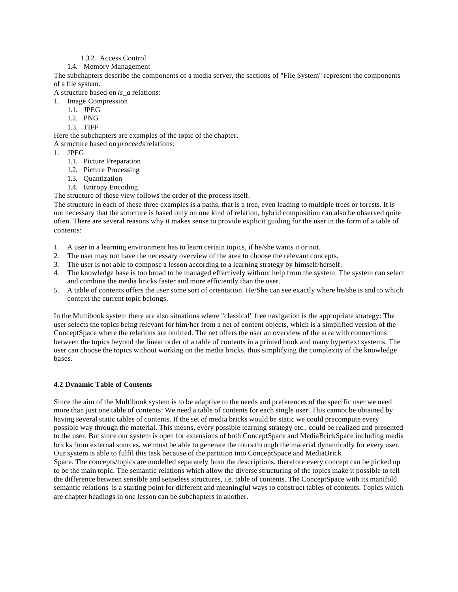#### 1.3.2. Access Control

#### 1.4. Memory Management

The subchapters describe the components of a media server, the sections of "File System" represent the components of a file system.

A structure based on *is\_a* relations:

1. Image Compression

- 1.1. JPEG
- 1.2. PNG
- 1.3. TIFF

Here the subchapters are examples of the topic of the chapter.

A structure based on *proceeds* relations:

- 1. JPEG
	- 1.1. Picture Preparation
	- 1.2. Picture Processing
	- 1.3. Quantization
	- 1.4. Entropy Encoding

The structure of these view follows the order of the process itself.

The structure in each of these three examples is a paths, that is a tree, even leading to multiple trees or forests. It is not necessary that the structure is based only on one kind of relation, hybrid composition can also be observed quite often. There are several reasons why it makes sense to provide explicit guiding for the user in the form of a table of contents:

- 1. A user in a learning environment has to learn certain topics, if he/she wants it or not.
- 2. The user may not have the necessary overview of the area to choose the relevant concepts.
- 3. The user is not able to compose a lesson according to a learning strategy by himself/herself.
- 4. The knowledge base is too broad to be managed effectively without help from the system. The system can select and combine the media bricks faster and more efficiently than the user.
- 5. A table of contents offers the user some sort of orientation. He/She can see exactly where he/she is and to which context the current topic belongs.

In the Multibook system there are also situations where "classical" free navigation is the appropriate strategy: The user selects the topics being relevant for him/her from a net of content objects, which is a simplified version of the ConceptSpace where the relations are omitted. The net offers the user an overview of the area with connections between the topics beyond the linear order of a table of contents in a printed book and many hypertext systems. The user can choose the topics without working on the media bricks, thus simplifying the complexity of the knowledge bases.

## **4.2 Dynamic Table of Contents**

Since the aim of the Multibook system is to be adaptive to the needs and preferences of the specific user we need more than just one table of contents: We need a table of contents for each single user. This cannot be obtained by having several static tables of contents. If the set of media bricks would be static we could precompute every possible way through the material. This means, every possible learning strategy etc., could be realized and presented to the user. But since our system is open for extensions of both ConceptSpace and MediaBrickSpace including media bricks from external sources, we must be able to generate the tours through the material dynamically for every user. Our system is able to fulfil this task because of the partition into ConceptSpace and MediaBrick Space. The concepts/topics are modelled separately from the descriptions, therefore every concept can be picked up

to be the main topic. The semantic relations which allow the diverse structuring of the topics make it possible to tell the difference between sensible and senseless structures, i.e. table of contents. The ConceptSpace with its manifold semantic relations is a starting point for different and meaningful ways to construct tables of contents. Topics which are chapter headings in one lesson can be subchapters in another.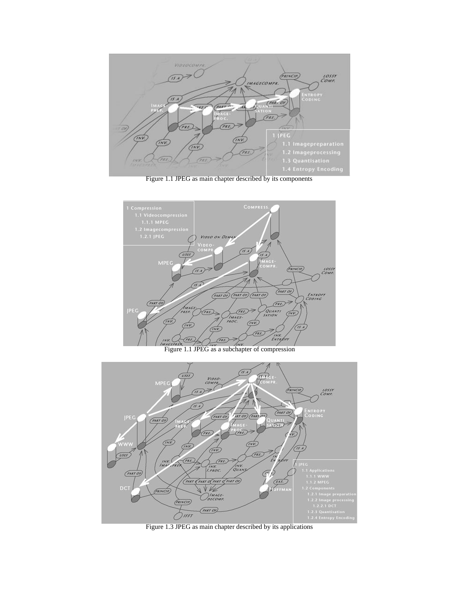

Figure 1.1 JPEG as main chapter described by its components



Figure 1.1 JPEG as a subchapter of compression



Figure 1.3 JPEG as main chapter described by its applications